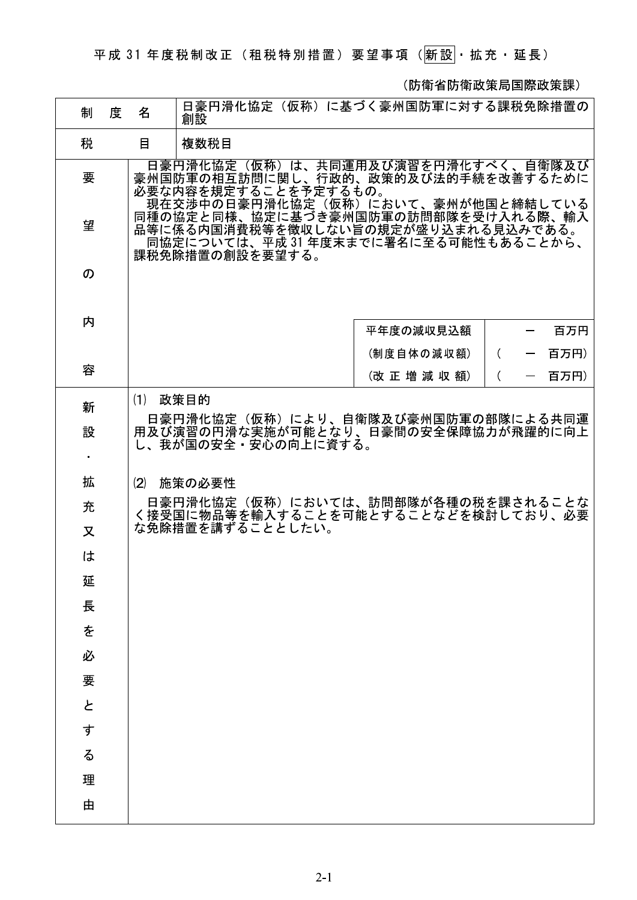平成 31 年度税制改正 (租税特別措置) 要望事項 (<mark>新設</mark>·拡充·延長)

(防衛省防衛政策局国際政策課)

| 制      | 度 | 名   | 日豪円滑化協定(仮称)に基づく豪州国防軍に対する課税免除措置の<br>創設                                                                                                     |
|--------|---|-----|-------------------------------------------------------------------------------------------------------------------------------------------|
| 税      |   | 目   | 複数税目                                                                                                                                      |
| 要      |   |     | 日豪円滑化協定(仮称)は、共同運用及び演習を円滑化すべく、自衛隊及び<br>豪州国防軍の相互訪問に関し、行政的、政策的及び法的手続を改善するために<br>必要な内容を規定することを予定するもの。<br>- 現在交渉中の日豪円滑化協定(仮称)において、豪州が他国と締結している |
| 望      |   |     | 同種の協定と同様、協定に基づき豪州国防軍の訪問部隊を受け入れる際、輸入<br>品等に係る内国消費税等を徴収しない旨の規定が盛り込まれる見込みである。<br>同協定については、平成 31 年度末までに署名に至る可能性もあることから、<br>課税免除措置の創設を要望する。    |
| の      |   |     |                                                                                                                                           |
| 内      |   |     | 平年度の減収見込額<br>百万円                                                                                                                          |
|        |   |     | (制度自体の減収額)<br>百万円)<br>$\left($                                                                                                            |
| 容      |   |     | (改正増減収額)<br>百万円)<br>$\left($                                                                                                              |
| 新      |   | (1) | 政策目的                                                                                                                                      |
| 設<br>٠ |   |     | 日豪円滑化協定(仮称)により、自衛隊及び豪州国防軍の部隊による共同運<br>用及び演習の円滑な実施が可能となり、日豪間の安全保障協力が飛躍的に向上<br>し、我が国の安全・安心の向上に資する。                                          |
| 拡      |   | (2) | 施策の必要性                                                                                                                                    |
| 充      |   |     | 日豪円滑化協定(仮称)においては、訪問部隊が各種の税を課されることな<br>く接受国に物品等を輸入することを可能とすることなどを検討しており、必要                                                                 |
| 又      |   |     | な免除措置を講ずることとしたい。                                                                                                                          |
| は      |   |     |                                                                                                                                           |
| 延      |   |     |                                                                                                                                           |
| 長      |   |     |                                                                                                                                           |
| を      |   |     |                                                                                                                                           |
| 必      |   |     |                                                                                                                                           |
| 要      |   |     |                                                                                                                                           |
| と      |   |     |                                                                                                                                           |
| す      |   |     |                                                                                                                                           |
| る      |   |     |                                                                                                                                           |
| 理      |   |     |                                                                                                                                           |
| 由      |   |     |                                                                                                                                           |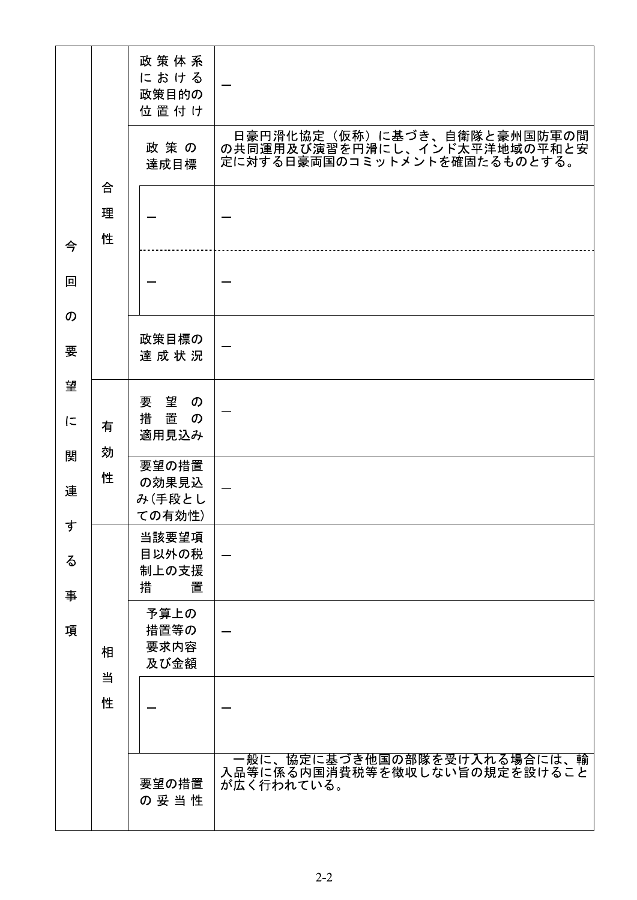|             | 合<br>理<br>性 | 政策体系<br>における<br>政策目的の<br>位置付け                                    | 日豪円滑化協定(仮称)に基づき、自衛隊と豪州国防軍の間                                               |
|-------------|-------------|------------------------------------------------------------------|---------------------------------------------------------------------------|
|             |             | 政策の<br>達成目標                                                      | の共同運用及び演習を円滑にし、インド太平洋地域の平和と安<br>定に対する日豪両国のコミットメントを確固たるものとする。              |
| 今           |             |                                                                  |                                                                           |
| 回<br>の      |             |                                                                  |                                                                           |
| 要           |             | 政策目標の<br>達成状況                                                    |                                                                           |
| 望<br>に      | 有<br>効<br>性 | 要望<br>$\boldsymbol{\mathcal{D}}$<br>措置<br>$\mathcal{D}$<br>適用見込み |                                                                           |
| 関<br>連      |             | 要望の措置<br>の効果見込<br>み(手段とし<br>ての有効性)                               |                                                                           |
| す<br>る<br>事 | 相<br>当<br>性 | 当該要望項<br>目以外の税<br>制上の支援<br>置<br>措                                |                                                                           |
| 項           |             | 予算上の<br>措置等の<br>要求内容<br>及び金額                                     |                                                                           |
|             |             |                                                                  |                                                                           |
|             |             | 要望の措置<br>の妥当性                                                    | 一般に、協定に基づき他国の部隊を受け入れる場合には、輸<br>入品等に係る内国消費税等を徴収しない旨の規定を設けること<br>が広く行われている。 |